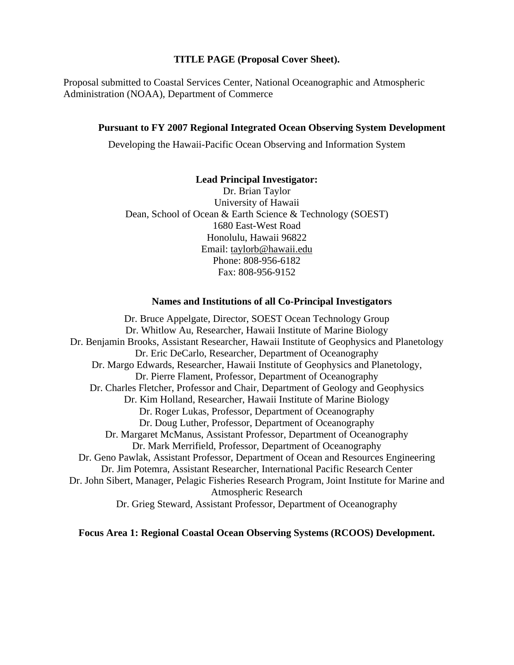#### **TITLE PAGE (Proposal Cover Sheet).**

Proposal submitted to Coastal Services Center, National Oceanographic and Atmospheric Administration (NOAA), Department of Commerce

#### **Pursuant to FY 2007 Regional Integrated Ocean Observing System Development**

Developing the Hawaii-Pacific Ocean Observing and Information System

#### **Lead Principal Investigator:**

Dr. Brian Taylor University of Hawaii Dean, School of Ocean & Earth Science & Technology (SOEST) 1680 East-West Road Honolulu, Hawaii 96822 Email: taylorb@hawaii.edu Phone: 808-956-6182 Fax: 808-956-9152

#### **Names and Institutions of all Co-Principal Investigators**

Dr. Bruce Appelgate, Director, SOEST Ocean Technology Group Dr. Whitlow Au, Researcher, Hawaii Institute of Marine Biology Dr. Benjamin Brooks, Assistant Researcher, Hawaii Institute of Geophysics and Planetology Dr. Eric DeCarlo, Researcher, Department of Oceanography Dr. Margo Edwards, Researcher, Hawaii Institute of Geophysics and Planetology, Dr. Pierre Flament, Professor, Department of Oceanography Dr. Charles Fletcher, Professor and Chair, Department of Geology and Geophysics Dr. Kim Holland, Researcher, Hawaii Institute of Marine Biology Dr. Roger Lukas, Professor, Department of Oceanography Dr. Doug Luther, Professor, Department of Oceanography Dr. Margaret McManus, Assistant Professor, Department of Oceanography Dr. Mark Merrifield, Professor, Department of Oceanography Dr. Geno Pawlak, Assistant Professor, Department of Ocean and Resources Engineering Dr. Jim Potemra, Assistant Researcher, International Pacific Research Center Dr. John Sibert, Manager, Pelagic Fisheries Research Program, Joint Institute for Marine and Atmospheric Research Dr. Grieg Steward, Assistant Professor, Department of Oceanography

#### **Focus Area 1: Regional Coastal Ocean Observing Systems (RCOOS) Development.**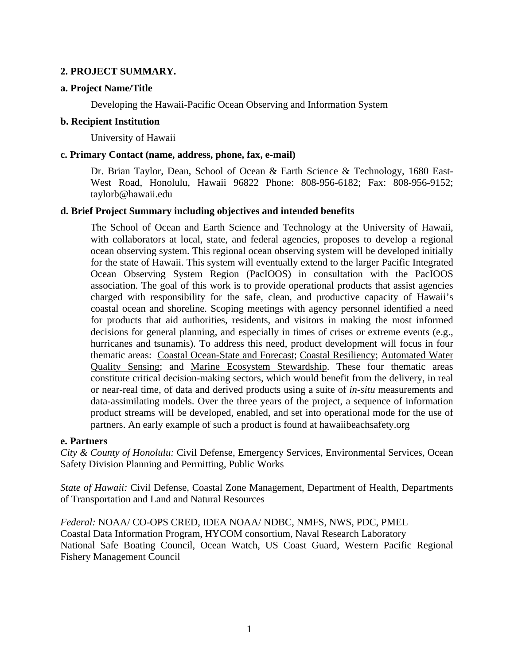# **2. PROJECT SUMMARY.**

## **a. Project Name/Title**

Developing the Hawaii-Pacific Ocean Observing and Information System

### **b. Recipient Institution**

University of Hawaii

## **c. Primary Contact (name, address, phone, fax, e-mail)**

Dr. Brian Taylor, Dean, School of Ocean & Earth Science & Technology, 1680 East-West Road, Honolulu, Hawaii 96822 Phone: 808-956-6182; Fax: 808-956-9152; taylorb@hawaii.edu

# **d. Brief Project Summary including objectives and intended benefits**

The School of Ocean and Earth Science and Technology at the University of Hawaii, with collaborators at local, state, and federal agencies, proposes to develop a regional ocean observing system. This regional ocean observing system will be developed initially for the state of Hawaii. This system will eventually extend to the larger Pacific Integrated Ocean Observing System Region (PacIOOS) in consultation with the PacIOOS association. The goal of this work is to provide operational products that assist agencies charged with responsibility for the safe, clean, and productive capacity of Hawaii's coastal ocean and shoreline. Scoping meetings with agency personnel identified a need for products that aid authorities, residents, and visitors in making the most informed decisions for general planning, and especially in times of crises or extreme events (e.g., hurricanes and tsunamis). To address this need, product development will focus in four thematic areas: Coastal Ocean-State and Forecast; Coastal Resiliency; Automated Water Quality Sensing; and Marine Ecosystem Stewardship. These four thematic areas constitute critical decision-making sectors, which would benefit from the delivery, in real or near-real time, of data and derived products using a suite of *in-situ* measurements and data-assimilating models. Over the three years of the project, a sequence of information product streams will be developed, enabled, and set into operational mode for the use of partners. An early example of such a product is found at hawaiibeachsafety.org

### **e. Partners**

*City & County of Honolulu:* Civil Defense, Emergency Services, Environmental Services, Ocean Safety Division Planning and Permitting, Public Works

*State of Hawaii:* Civil Defense, Coastal Zone Management, Department of Health, Departments of Transportation and Land and Natural Resources

*Federal:* NOAA/ CO-OPS CRED, IDEA NOAA/ NDBC, NMFS, NWS, PDC, PMEL Coastal Data Information Program, HYCOM consortium, Naval Research Laboratory National Safe Boating Council, Ocean Watch, US Coast Guard, Western Pacific Regional Fishery Management Council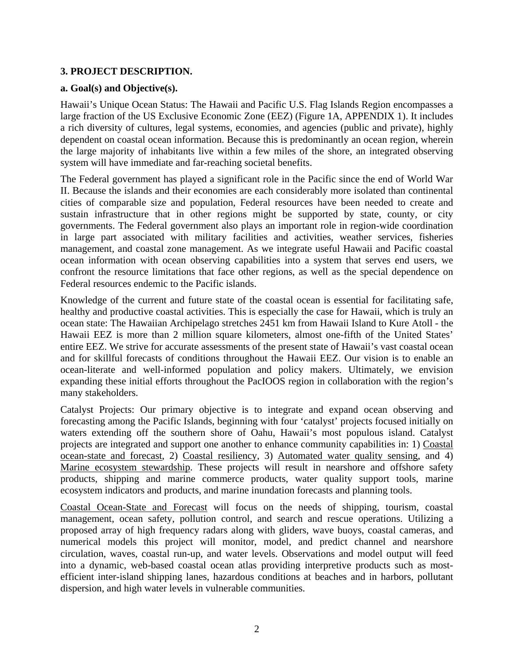# **3. PROJECT DESCRIPTION.**

# **a. Goal(s) and Objective(s).**

Hawaii's Unique Ocean Status: The Hawaii and Pacific U.S. Flag Islands Region encompasses a large fraction of the US Exclusive Economic Zone (EEZ) (Figure 1A, APPENDIX 1). It includes a rich diversity of cultures, legal systems, economies, and agencies (public and private), highly dependent on coastal ocean information. Because this is predominantly an ocean region, wherein the large majority of inhabitants live within a few miles of the shore, an integrated observing system will have immediate and far-reaching societal benefits.

The Federal government has played a significant role in the Pacific since the end of World War II. Because the islands and their economies are each considerably more isolated than continental cities of comparable size and population, Federal resources have been needed to create and sustain infrastructure that in other regions might be supported by state, county, or city governments. The Federal government also plays an important role in region-wide coordination in large part associated with military facilities and activities, weather services, fisheries management, and coastal zone management. As we integrate useful Hawaii and Pacific coastal ocean information with ocean observing capabilities into a system that serves end users, we confront the resource limitations that face other regions, as well as the special dependence on Federal resources endemic to the Pacific islands.

Knowledge of the current and future state of the coastal ocean is essential for facilitating safe, healthy and productive coastal activities. This is especially the case for Hawaii, which is truly an ocean state: The Hawaiian Archipelago stretches 2451 km from Hawaii Island to Kure Atoll - the Hawaii EEZ is more than 2 million square kilometers, almost one-fifth of the United States' entire EEZ. We strive for accurate assessments of the present state of Hawaii's vast coastal ocean and for skillful forecasts of conditions throughout the Hawaii EEZ. Our vision is to enable an ocean-literate and well-informed population and policy makers. Ultimately, we envision expanding these initial efforts throughout the PacIOOS region in collaboration with the region's many stakeholders.

Catalyst Projects: Our primary objective is to integrate and expand ocean observing and forecasting among the Pacific Islands, beginning with four 'catalyst' projects focused initially on waters extending off the southern shore of Oahu, Hawaii's most populous island. Catalyst projects are integrated and support one another to enhance community capabilities in: 1) Coastal ocean-state and forecast, 2) Coastal resiliency, 3) Automated water quality sensing, and 4) Marine ecosystem stewardship. These projects will result in nearshore and offshore safety products, shipping and marine commerce products, water quality support tools, marine ecosystem indicators and products, and marine inundation forecasts and planning tools.

Coastal Ocean-State and Forecast will focus on the needs of shipping, tourism, coastal management, ocean safety, pollution control, and search and rescue operations. Utilizing a proposed array of high frequency radars along with gliders, wave buoys, coastal cameras, and numerical models this project will monitor, model, and predict channel and nearshore circulation, waves, coastal run-up, and water levels. Observations and model output will feed into a dynamic, web-based coastal ocean atlas providing interpretive products such as mostefficient inter-island shipping lanes, hazardous conditions at beaches and in harbors, pollutant dispersion, and high water levels in vulnerable communities.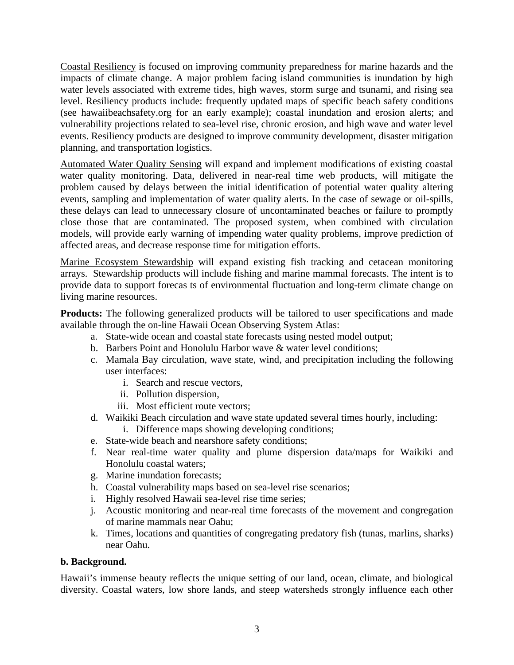Coastal Resiliency is focused on improving community preparedness for marine hazards and the impacts of climate change. A major problem facing island communities is inundation by high water levels associated with extreme tides, high waves, storm surge and tsunami, and rising sea level. Resiliency products include: frequently updated maps of specific beach safety conditions (see hawaiibeachsafety.org for an early example); coastal inundation and erosion alerts; and vulnerability projections related to sea-level rise, chronic erosion, and high wave and water level events. Resiliency products are designed to improve community development, disaster mitigation planning, and transportation logistics.

Automated Water Quality Sensing will expand and implement modifications of existing coastal water quality monitoring. Data, delivered in near-real time web products, will mitigate the problem caused by delays between the initial identification of potential water quality altering events, sampling and implementation of water quality alerts. In the case of sewage or oil-spills, these delays can lead to unnecessary closure of uncontaminated beaches or failure to promptly close those that are contaminated. The proposed system, when combined with circulation models, will provide early warning of impending water quality problems, improve prediction of affected areas, and decrease response time for mitigation efforts.

Marine Ecosystem Stewardship will expand existing fish tracking and cetacean monitoring arrays. Stewardship products will include fishing and marine mammal forecasts. The intent is to provide data to support forecas ts of environmental fluctuation and long-term climate change on living marine resources.

**Products:** The following generalized products will be tailored to user specifications and made available through the on-line Hawaii Ocean Observing System Atlas:

- a. State-wide ocean and coastal state forecasts using nested model output;
- b. Barbers Point and Honolulu Harbor wave & water level conditions;
- c. Mamala Bay circulation, wave state, wind, and precipitation including the following user interfaces:
	- i. Search and rescue vectors,
	- ii. Pollution dispersion,
	- iii. Most efficient route vectors;
- d. Waikiki Beach circulation and wave state updated several times hourly, including:
	- i. Difference maps showing developing conditions;
- e. State-wide beach and nearshore safety conditions;
- f. Near real-time water quality and plume dispersion data/maps for Waikiki and Honolulu coastal waters;
- g. Marine inundation forecasts;
- h. Coastal vulnerability maps based on sea-level rise scenarios;
- i. Highly resolved Hawaii sea-level rise time series;
- j. Acoustic monitoring and near-real time forecasts of the movement and congregation of marine mammals near Oahu;
- k. Times, locations and quantities of congregating predatory fish (tunas, marlins, sharks) near Oahu.

### **b. Background.**

Hawaii's immense beauty reflects the unique setting of our land, ocean, climate, and biological diversity. Coastal waters, low shore lands, and steep watersheds strongly influence each other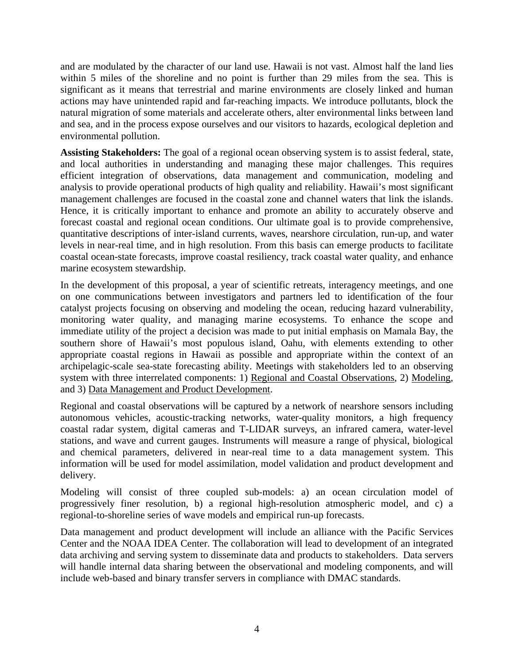and are modulated by the character of our land use. Hawaii is not vast. Almost half the land lies within 5 miles of the shoreline and no point is further than 29 miles from the sea. This is significant as it means that terrestrial and marine environments are closely linked and human actions may have unintended rapid and far-reaching impacts. We introduce pollutants, block the natural migration of some materials and accelerate others, alter environmental links between land and sea, and in the process expose ourselves and our visitors to hazards, ecological depletion and environmental pollution.

**Assisting Stakeholders:** The goal of a regional ocean observing system is to assist federal, state, and local authorities in understanding and managing these major challenges. This requires efficient integration of observations, data management and communication, modeling and analysis to provide operational products of high quality and reliability. Hawaii's most significant management challenges are focused in the coastal zone and channel waters that link the islands. Hence, it is critically important to enhance and promote an ability to accurately observe and forecast coastal and regional ocean conditions. Our ultimate goal is to provide comprehensive, quantitative descriptions of inter-island currents, waves, nearshore circulation, run-up, and water levels in near-real time, and in high resolution. From this basis can emerge products to facilitate coastal ocean-state forecasts, improve coastal resiliency, track coastal water quality, and enhance marine ecosystem stewardship.

In the development of this proposal, a year of scientific retreats, interagency meetings, and one on one communications between investigators and partners led to identification of the four catalyst projects focusing on observing and modeling the ocean, reducing hazard vulnerability, monitoring water quality, and managing marine ecosystems. To enhance the scope and immediate utility of the project a decision was made to put initial emphasis on Mamala Bay, the southern shore of Hawaii's most populous island, Oahu, with elements extending to other appropriate coastal regions in Hawaii as possible and appropriate within the context of an archipelagic-scale sea-state forecasting ability. Meetings with stakeholders led to an observing system with three interrelated components: 1) Regional and Coastal Observations, 2) Modeling, and 3) Data Management and Product Development.

Regional and coastal observations will be captured by a network of nearshore sensors including autonomous vehicles, acoustic-tracking networks, water-quality monitors, a high frequency coastal radar system, digital cameras and T-LIDAR surveys, an infrared camera, water-level stations, and wave and current gauges. Instruments will measure a range of physical, biological and chemical parameters, delivered in near-real time to a data management system. This information will be used for model assimilation, model validation and product development and delivery.

Modeling will consist of three coupled sub-models: a) an ocean circulation model of progressively finer resolution, b) a regional high-resolution atmospheric model, and c) a regional-to-shoreline series of wave models and empirical run-up forecasts.

Data management and product development will include an alliance with the Pacific Services Center and the NOAA IDEA Center. The collaboration will lead to development of an integrated data archiving and serving system to disseminate data and products to stakeholders. Data servers will handle internal data sharing between the observational and modeling components, and will include web-based and binary transfer servers in compliance with DMAC standards.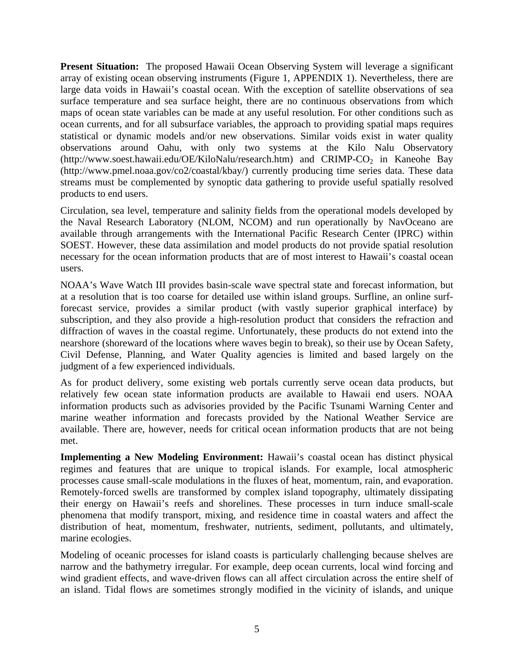**Present Situation:** The proposed Hawaii Ocean Observing System will leverage a significant array of existing ocean observing instruments (Figure 1, APPENDIX 1). Nevertheless, there are large data voids in Hawaii's coastal ocean. With the exception of satellite observations of sea surface temperature and sea surface height, there are no continuous observations from which maps of ocean state variables can be made at any useful resolution. For other conditions such as ocean currents, and for all subsurface variables, the approach to providing spatial maps requires statistical or dynamic models and/or new observations. Similar voids exist in water quality observations around Oahu, with only two systems at the Kilo Nalu Observatory  $(http://www.soest.hawaii.edu/OE/KiloNalu/research.htm)$  and  $CRIMP-CO<sub>2</sub>$  in Kaneohe Bay (http://www.pmel.noaa.gov/co2/coastal/kbay/) currently producing time series data. These data streams must be complemented by synoptic data gathering to provide useful spatially resolved products to end users.

Circulation, sea level, temperature and salinity fields from the operational models developed by the Naval Research Laboratory (NLOM, NCOM) and run operationally by NavOceano are available through arrangements with the International Pacific Research Center (IPRC) within SOEST. However, these data assimilation and model products do not provide spatial resolution necessary for the ocean information products that are of most interest to Hawaii's coastal ocean users.

NOAA's Wave Watch III provides basin-scale wave spectral state and forecast information, but at a resolution that is too coarse for detailed use within island groups. Surfline, an online surfforecast service, provides a similar product (with vastly superior graphical interface) by subscription, and they also provide a high-resolution product that considers the refraction and diffraction of waves in the coastal regime. Unfortunately, these products do not extend into the nearshore (shoreward of the locations where waves begin to break), so their use by Ocean Safety, Civil Defense, Planning, and Water Quality agencies is limited and based largely on the judgment of a few experienced individuals.

As for product delivery, some existing web portals currently serve ocean data products, but relatively few ocean state information products are available to Hawaii end users. NOAA information products such as advisories provided by the Pacific Tsunami Warning Center and marine weather information and forecasts provided by the National Weather Service are available. There are, however, needs for critical ocean information products that are not being met.

**Implementing a New Modeling Environment:** Hawaii's coastal ocean has distinct physical regimes and features that are unique to tropical islands. For example, local atmospheric processes cause small-scale modulations in the fluxes of heat, momentum, rain, and evaporation. Remotely-forced swells are transformed by complex island topography, ultimately dissipating their energy on Hawaii's reefs and shorelines. These processes in turn induce small-scale phenomena that modify transport, mixing, and residence time in coastal waters and affect the distribution of heat, momentum, freshwater, nutrients, sediment, pollutants, and ultimately, marine ecologies.

Modeling of oceanic processes for island coasts is particularly challenging because shelves are narrow and the bathymetry irregular. For example, deep ocean currents, local wind forcing and wind gradient effects, and wave-driven flows can all affect circulation across the entire shelf of an island. Tidal flows are sometimes strongly modified in the vicinity of islands, and unique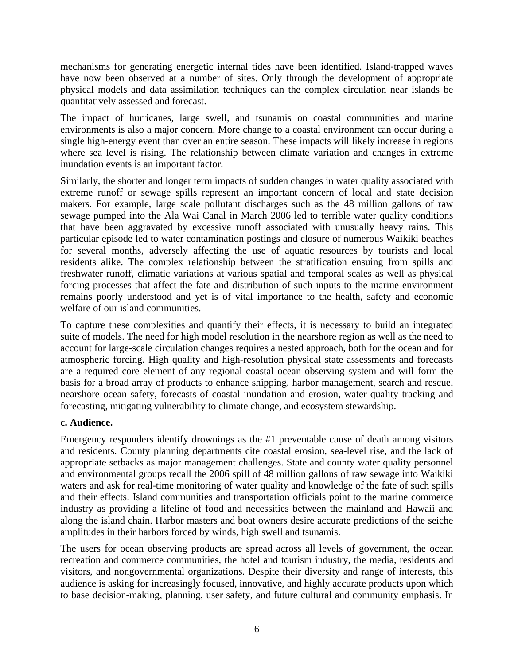mechanisms for generating energetic internal tides have been identified. Island-trapped waves have now been observed at a number of sites. Only through the development of appropriate physical models and data assimilation techniques can the complex circulation near islands be quantitatively assessed and forecast.

The impact of hurricanes, large swell, and tsunamis on coastal communities and marine environments is also a major concern. More change to a coastal environment can occur during a single high-energy event than over an entire season. These impacts will likely increase in regions where sea level is rising. The relationship between climate variation and changes in extreme inundation events is an important factor.

Similarly, the shorter and longer term impacts of sudden changes in water quality associated with extreme runoff or sewage spills represent an important concern of local and state decision makers. For example, large scale pollutant discharges such as the 48 million gallons of raw sewage pumped into the Ala Wai Canal in March 2006 led to terrible water quality conditions that have been aggravated by excessive runoff associated with unusually heavy rains. This particular episode led to water contamination postings and closure of numerous Waikiki beaches for several months, adversely affecting the use of aquatic resources by tourists and local residents alike. The complex relationship between the stratification ensuing from spills and freshwater runoff, climatic variations at various spatial and temporal scales as well as physical forcing processes that affect the fate and distribution of such inputs to the marine environment remains poorly understood and yet is of vital importance to the health, safety and economic welfare of our island communities.

To capture these complexities and quantify their effects, it is necessary to build an integrated suite of models. The need for high model resolution in the nearshore region as well as the need to account for large-scale circulation changes requires a nested approach, both for the ocean and for atmospheric forcing. High quality and high-resolution physical state assessments and forecasts are a required core element of any regional coastal ocean observing system and will form the basis for a broad array of products to enhance shipping, harbor management, search and rescue, nearshore ocean safety, forecasts of coastal inundation and erosion, water quality tracking and forecasting, mitigating vulnerability to climate change, and ecosystem stewardship.

### **c. Audience.**

Emergency responders identify drownings as the #1 preventable cause of death among visitors and residents. County planning departments cite coastal erosion, sea-level rise, and the lack of appropriate setbacks as major management challenges. State and county water quality personnel and environmental groups recall the 2006 spill of 48 million gallons of raw sewage into Waikiki waters and ask for real-time monitoring of water quality and knowledge of the fate of such spills and their effects. Island communities and transportation officials point to the marine commerce industry as providing a lifeline of food and necessities between the mainland and Hawaii and along the island chain. Harbor masters and boat owners desire accurate predictions of the seiche amplitudes in their harbors forced by winds, high swell and tsunamis.

The users for ocean observing products are spread across all levels of government, the ocean recreation and commerce communities, the hotel and tourism industry, the media, residents and visitors, and nongovernmental organizations. Despite their diversity and range of interests, this audience is asking for increasingly focused, innovative, and highly accurate products upon which to base decision-making, planning, user safety, and future cultural and community emphasis. In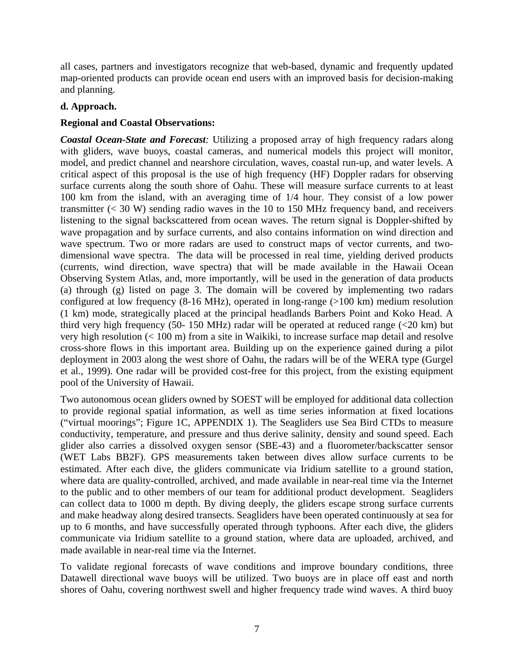all cases, partners and investigators recognize that web-based, dynamic and frequently updated map-oriented products can provide ocean end users with an improved basis for decision-making and planning.

## **d. Approach.**

# **Regional and Coastal Observations:**

*Coastal Ocean-State and Forecast:* Utilizing a proposed array of high frequency radars along with gliders, wave buoys, coastal cameras, and numerical models this project will monitor, model, and predict channel and nearshore circulation, waves, coastal run-up, and water levels. A critical aspect of this proposal is the use of high frequency (HF) Doppler radars for observing surface currents along the south shore of Oahu. These will measure surface currents to at least 100 km from the island, with an averaging time of 1/4 hour. They consist of a low power transmitter  $( $30 \text{ W}$ ) sending radio waves in the 10 to 150 MHz frequency band, and receivers$ listening to the signal backscattered from ocean waves. The return signal is Doppler-shifted by wave propagation and by surface currents, and also contains information on wind direction and wave spectrum. Two or more radars are used to construct maps of vector currents, and twodimensional wave spectra. The data will be processed in real time, yielding derived products (currents, wind direction, wave spectra) that will be made available in the Hawaii Ocean Observing System Atlas, and, more importantly, will be used in the generation of data products (a) through (g) listed on page 3. The domain will be covered by implementing two radars configured at low frequency  $(8-16 \text{ MHz})$ , operated in long-range  $(>100 \text{ km})$  medium resolution (1 km) mode, strategically placed at the principal headlands Barbers Point and Koko Head. A third very high frequency (50- 150 MHz) radar will be operated at reduced range  $\langle 20 \text{ km} \rangle$  but very high resolution (< 100 m) from a site in Waikiki, to increase surface map detail and resolve cross-shore flows in this important area. Building up on the experience gained during a pilot deployment in 2003 along the west shore of Oahu, the radars will be of the WERA type (Gurgel et al., 1999). One radar will be provided cost-free for this project, from the existing equipment pool of the University of Hawaii.

Two autonomous ocean gliders owned by SOEST will be employed for additional data collection to provide regional spatial information, as well as time series information at fixed locations ("virtual moorings"; Figure 1C, APPENDIX 1). The Seagliders use Sea Bird CTDs to measure conductivity, temperature, and pressure and thus derive salinity, density and sound speed. Each glider also carries a dissolved oxygen sensor (SBE-43) and a fluorometer/backscatter sensor (WET Labs BB2F). GPS measurements taken between dives allow surface currents to be estimated. After each dive, the gliders communicate via Iridium satellite to a ground station, where data are quality-controlled, archived, and made available in near-real time via the Internet to the public and to other members of our team for additional product development. Seagliders can collect data to 1000 m depth. By diving deeply, the gliders escape strong surface currents and make headway along desired transects. Seagliders have been operated continuously at sea for up to 6 months, and have successfully operated through typhoons. After each dive, the gliders communicate via Iridium satellite to a ground station, where data are uploaded, archived, and made available in near-real time via the Internet.

To validate regional forecasts of wave conditions and improve boundary conditions, three Datawell directional wave buoys will be utilized. Two buoys are in place off east and north shores of Oahu, covering northwest swell and higher frequency trade wind waves. A third buoy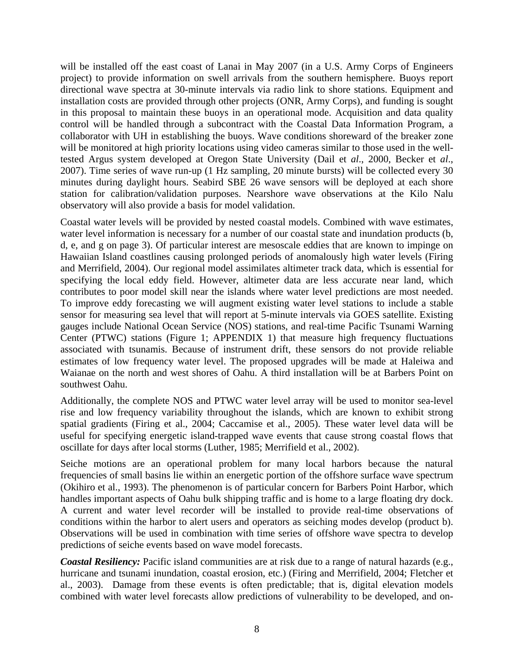will be installed off the east coast of Lanai in May 2007 (in a U.S. Army Corps of Engineers project) to provide information on swell arrivals from the southern hemisphere. Buoys report directional wave spectra at 30-minute intervals via radio link to shore stations. Equipment and installation costs are provided through other projects (ONR, Army Corps), and funding is sought in this proposal to maintain these buoys in an operational mode. Acquisition and data quality control will be handled through a subcontract with the Coastal Data Information Program, a collaborator with UH in establishing the buoys. Wave conditions shoreward of the breaker zone will be monitored at high priority locations using video cameras similar to those used in the welltested Argus system developed at Oregon State University (Dail et *al*., 2000, Becker et *al*., 2007). Time series of wave run-up (1 Hz sampling, 20 minute bursts) will be collected every 30 minutes during daylight hours. Seabird SBE 26 wave sensors will be deployed at each shore station for calibration/validation purposes. Nearshore wave observations at the Kilo Nalu observatory will also provide a basis for model validation.

Coastal water levels will be provided by nested coastal models. Combined with wave estimates, water level information is necessary for a number of our coastal state and inundation products (b, d, e, and g on page 3). Of particular interest are mesoscale eddies that are known to impinge on Hawaiian Island coastlines causing prolonged periods of anomalously high water levels (Firing and Merrifield, 2004). Our regional model assimilates altimeter track data, which is essential for specifying the local eddy field. However, altimeter data are less accurate near land, which contributes to poor model skill near the islands where water level predictions are most needed. To improve eddy forecasting we will augment existing water level stations to include a stable sensor for measuring sea level that will report at 5-minute intervals via GOES satellite. Existing gauges include National Ocean Service (NOS) stations, and real-time Pacific Tsunami Warning Center (PTWC) stations (Figure 1; APPENDIX 1) that measure high frequency fluctuations associated with tsunamis. Because of instrument drift, these sensors do not provide reliable estimates of low frequency water level. The proposed upgrades will be made at Haleiwa and Waianae on the north and west shores of Oahu. A third installation will be at Barbers Point on southwest Oahu.

Additionally, the complete NOS and PTWC water level array will be used to monitor sea-level rise and low frequency variability throughout the islands, which are known to exhibit strong spatial gradients (Firing et al., 2004; Caccamise et al., 2005). These water level data will be useful for specifying energetic island-trapped wave events that cause strong coastal flows that oscillate for days after local storms (Luther, 1985; Merrifield et al., 2002).

Seiche motions are an operational problem for many local harbors because the natural frequencies of small basins lie within an energetic portion of the offshore surface wave spectrum (Okihiro et al., 1993). The phenomenon is of particular concern for Barbers Point Harbor, which handles important aspects of Oahu bulk shipping traffic and is home to a large floating dry dock. A current and water level recorder will be installed to provide real-time observations of conditions within the harbor to alert users and operators as seiching modes develop (product b). Observations will be used in combination with time series of offshore wave spectra to develop predictions of seiche events based on wave model forecasts.

*Coastal Resiliency:* Pacific island communities are at risk due to a range of natural hazards (e.g., hurricane and tsunami inundation, coastal erosion, etc.) (Firing and Merrifield, 2004; Fletcher et al., 2003). Damage from these events is often predictable; that is, digital elevation models combined with water level forecasts allow predictions of vulnerability to be developed, and on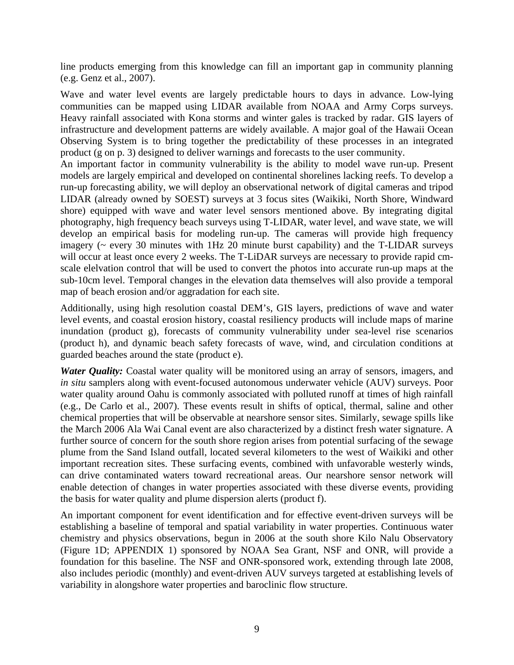line products emerging from this knowledge can fill an important gap in community planning (e.g. Genz et al., 2007).

Wave and water level events are largely predictable hours to days in advance. Low-lying communities can be mapped using LIDAR available from NOAA and Army Corps surveys. Heavy rainfall associated with Kona storms and winter gales is tracked by radar. GIS layers of infrastructure and development patterns are widely available. A major goal of the Hawaii Ocean Observing System is to bring together the predictability of these processes in an integrated product (g on p. 3) designed to deliver warnings and forecasts to the user community.

An important factor in community vulnerability is the ability to model wave run-up. Present models are largely empirical and developed on continental shorelines lacking reefs. To develop a run-up forecasting ability, we will deploy an observational network of digital cameras and tripod LIDAR (already owned by SOEST) surveys at 3 focus sites (Waikiki, North Shore, Windward shore) equipped with wave and water level sensors mentioned above. By integrating digital photography, high frequency beach surveys using T-LIDAR, water level, and wave state, we will develop an empirical basis for modeling run-up. The cameras will provide high frequency imagery (~ every 30 minutes with 1Hz 20 minute burst capability) and the T-LIDAR surveys will occur at least once every 2 weeks. The T-LiDAR surveys are necessary to provide rapid cmscale elelvation control that will be used to convert the photos into accurate run-up maps at the sub-10cm level. Temporal changes in the elevation data themselves will also provide a temporal map of beach erosion and/or aggradation for each site.

Additionally, using high resolution coastal DEM's, GIS layers, predictions of wave and water level events, and coastal erosion history, coastal resiliency products will include maps of marine inundation (product g), forecasts of community vulnerability under sea-level rise scenarios (product h), and dynamic beach safety forecasts of wave, wind, and circulation conditions at guarded beaches around the state (product e).

*Water Quality:* Coastal water quality will be monitored using an array of sensors, imagers, and *in situ* samplers along with event-focused autonomous underwater vehicle (AUV) surveys. Poor water quality around Oahu is commonly associated with polluted runoff at times of high rainfall (e.g., De Carlo et al., 2007). These events result in shifts of optical, thermal, saline and other chemical properties that will be observable at nearshore sensor sites. Similarly, sewage spills like the March 2006 Ala Wai Canal event are also characterized by a distinct fresh water signature. A further source of concern for the south shore region arises from potential surfacing of the sewage plume from the Sand Island outfall, located several kilometers to the west of Waikiki and other important recreation sites. These surfacing events, combined with unfavorable westerly winds, can drive contaminated waters toward recreational areas. Our nearshore sensor network will enable detection of changes in water properties associated with these diverse events, providing the basis for water quality and plume dispersion alerts (product f).

An important component for event identification and for effective event-driven surveys will be establishing a baseline of temporal and spatial variability in water properties. Continuous water chemistry and physics observations, begun in 2006 at the south shore Kilo Nalu Observatory (Figure 1D; APPENDIX 1) sponsored by NOAA Sea Grant, NSF and ONR, will provide a foundation for this baseline. The NSF and ONR-sponsored work, extending through late 2008, also includes periodic (monthly) and event-driven AUV surveys targeted at establishing levels of variability in alongshore water properties and baroclinic flow structure.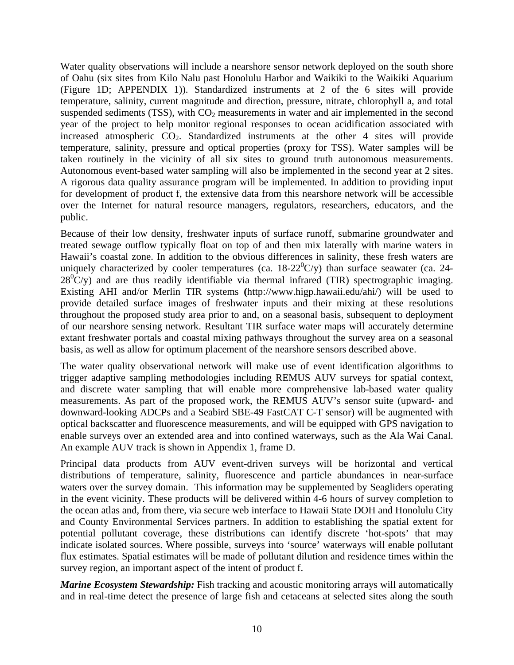Water quality observations will include a nearshore sensor network deployed on the south shore of Oahu (six sites from Kilo Nalu past Honolulu Harbor and Waikiki to the Waikiki Aquarium (Figure 1D; APPENDIX 1)). Standardized instruments at 2 of the 6 sites will provide temperature, salinity, current magnitude and direction, pressure, nitrate, chlorophyll a, and total suspended sediments (TSS), with  $CO<sub>2</sub>$  measurements in water and air implemented in the second year of the project to help monitor regional responses to ocean acidification associated with increased atmospheric  $CO<sub>2</sub>$ . Standardized instruments at the other 4 sites will provide temperature, salinity, pressure and optical properties (proxy for TSS). Water samples will be taken routinely in the vicinity of all six sites to ground truth autonomous measurements. Autonomous event-based water sampling will also be implemented in the second year at 2 sites. A rigorous data quality assurance program will be implemented. In addition to providing input for development of product f, the extensive data from this nearshore network will be accessible over the Internet for natural resource managers, regulators, researchers, educators, and the public.

Because of their low density, freshwater inputs of surface runoff, submarine groundwater and treated sewage outflow typically float on top of and then mix laterally with marine waters in Hawaii's coastal zone. In addition to the obvious differences in salinity, these fresh waters are uniquely characterized by cooler temperatures (ca.  $18{\text -}22^0$ C/y) than surface seawater (ca. 24- $28^0$ C/y) and are thus readily identifiable via thermal infrared (TIR) spectrographic imaging. Existing AHI and/or Merlin TIR systems **(**http://www.higp.hawaii.edu/ahi/) will be used to provide detailed surface images of freshwater inputs and their mixing at these resolutions throughout the proposed study area prior to and, on a seasonal basis, subsequent to deployment of our nearshore sensing network. Resultant TIR surface water maps will accurately determine extant freshwater portals and coastal mixing pathways throughout the survey area on a seasonal basis, as well as allow for optimum placement of the nearshore sensors described above.

The water quality observational network will make use of event identification algorithms to trigger adaptive sampling methodologies including REMUS AUV surveys for spatial context, and discrete water sampling that will enable more comprehensive lab-based water quality measurements. As part of the proposed work, the REMUS AUV's sensor suite (upward- and downward-looking ADCPs and a Seabird SBE-49 FastCAT C-T sensor) will be augmented with optical backscatter and fluorescence measurements, and will be equipped with GPS navigation to enable surveys over an extended area and into confined waterways, such as the Ala Wai Canal. An example AUV track is shown in Appendix 1, frame D.

Principal data products from AUV event-driven surveys will be horizontal and vertical distributions of temperature, salinity, fluorescence and particle abundances in near-surface waters over the survey domain. This information may be supplemented by Seagliders operating in the event vicinity. These products will be delivered within 4-6 hours of survey completion to the ocean atlas and, from there, via secure web interface to Hawaii State DOH and Honolulu City and County Environmental Services partners. In addition to establishing the spatial extent for potential pollutant coverage, these distributions can identify discrete 'hot-spots' that may indicate isolated sources. Where possible, surveys into 'source' waterways will enable pollutant flux estimates. Spatial estimates will be made of pollutant dilution and residence times within the survey region, an important aspect of the intent of product f.

*Marine Ecosystem Stewardship:* Fish tracking and acoustic monitoring arrays will automatically and in real-time detect the presence of large fish and cetaceans at selected sites along the south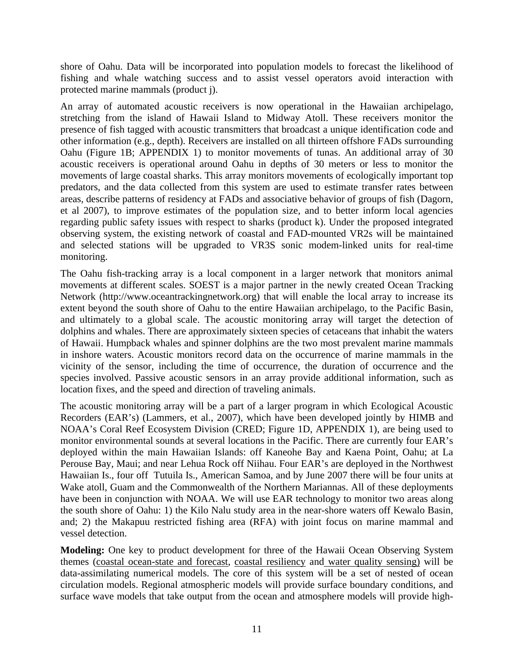shore of Oahu. Data will be incorporated into population models to forecast the likelihood of fishing and whale watching success and to assist vessel operators avoid interaction with protected marine mammals (product j).

An array of automated acoustic receivers is now operational in the Hawaiian archipelago, stretching from the island of Hawaii Island to Midway Atoll. These receivers monitor the presence of fish tagged with acoustic transmitters that broadcast a unique identification code and other information (e.g., depth). Receivers are installed on all thirteen offshore FADs surrounding Oahu (Figure 1B; APPENDIX 1) to monitor movements of tunas. An additional array of 30 acoustic receivers is operational around Oahu in depths of 30 meters or less to monitor the movements of large coastal sharks. This array monitors movements of ecologically important top predators, and the data collected from this system are used to estimate transfer rates between areas, describe patterns of residency at FADs and associative behavior of groups of fish (Dagorn, et al 2007), to improve estimates of the population size, and to better inform local agencies regarding public safety issues with respect to sharks (product k). Under the proposed integrated observing system, the existing network of coastal and FAD-mounted VR2s will be maintained and selected stations will be upgraded to VR3S sonic modem-linked units for real-time monitoring.

The Oahu fish-tracking array is a local component in a larger network that monitors animal movements at different scales. SOEST is a major partner in the newly created Ocean Tracking Network (http://www.oceantrackingnetwork.org) that will enable the local array to increase its extent beyond the south shore of Oahu to the entire Hawaiian archipelago, to the Pacific Basin, and ultimately to a global scale. The acoustic monitoring array will target the detection of dolphins and whales. There are approximately sixteen species of cetaceans that inhabit the waters of Hawaii. Humpback whales and spinner dolphins are the two most prevalent marine mammals in inshore waters. Acoustic monitors record data on the occurrence of marine mammals in the vicinity of the sensor, including the time of occurrence, the duration of occurrence and the species involved. Passive acoustic sensors in an array provide additional information, such as location fixes, and the speed and direction of traveling animals.

The acoustic monitoring array will be a part of a larger program in which Ecological Acoustic Recorders (EAR's) (Lammers, et al., 2007), which have been developed jointly by HIMB and NOAA's Coral Reef Ecosystem Division (CRED; Figure 1D, APPENDIX 1), are being used to monitor environmental sounds at several locations in the Pacific. There are currently four EAR's deployed within the main Hawaiian Islands: off Kaneohe Bay and Kaena Point, Oahu; at La Perouse Bay, Maui; and near Lehua Rock off Niihau. Four EAR's are deployed in the Northwest Hawaiian Is., four off Tutuila Is., American Samoa, and by June 2007 there will be four units at Wake atoll, Guam and the Commonwealth of the Northern Mariannas. All of these deployments have been in conjunction with NOAA. We will use EAR technology to monitor two areas along the south shore of Oahu: 1) the Kilo Nalu study area in the near-shore waters off Kewalo Basin, and; 2) the Makapuu restricted fishing area (RFA) with joint focus on marine mammal and vessel detection.

**Modeling:** One key to product development for three of the Hawaii Ocean Observing System themes (coastal ocean-state and forecast, coastal resiliency and water quality sensing) will be data-assimilating numerical models. The core of this system will be a set of nested of ocean circulation models. Regional atmospheric models will provide surface boundary conditions, and surface wave models that take output from the ocean and atmosphere models will provide high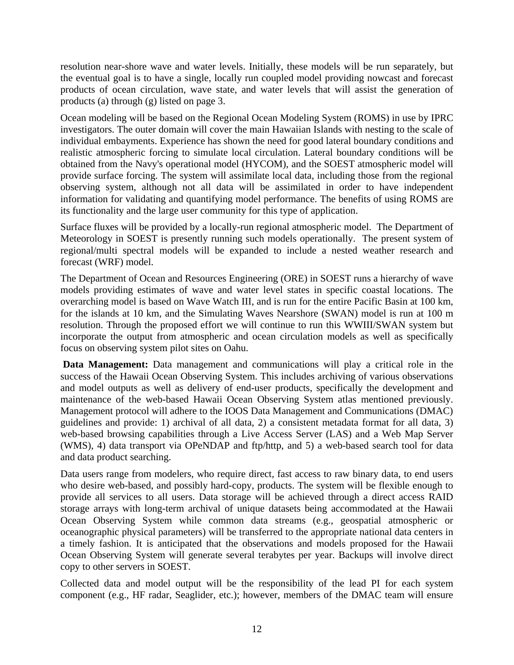resolution near-shore wave and water levels. Initially, these models will be run separately, but the eventual goal is to have a single, locally run coupled model providing nowcast and forecast products of ocean circulation, wave state, and water levels that will assist the generation of products (a) through (g) listed on page 3.

Ocean modeling will be based on the Regional Ocean Modeling System (ROMS) in use by IPRC investigators. The outer domain will cover the main Hawaiian Islands with nesting to the scale of individual embayments. Experience has shown the need for good lateral boundary conditions and realistic atmospheric forcing to simulate local circulation. Lateral boundary conditions will be obtained from the Navy's operational model (HYCOM), and the SOEST atmospheric model will provide surface forcing. The system will assimilate local data, including those from the regional observing system, although not all data will be assimilated in order to have independent information for validating and quantifying model performance. The benefits of using ROMS are its functionality and the large user community for this type of application.

Surface fluxes will be provided by a locally-run regional atmospheric model. The Department of Meteorology in SOEST is presently running such models operationally. The present system of regional/multi spectral models will be expanded to include a nested weather research and forecast (WRF) model.

The Department of Ocean and Resources Engineering (ORE) in SOEST runs a hierarchy of wave models providing estimates of wave and water level states in specific coastal locations. The overarching model is based on Wave Watch III, and is run for the entire Pacific Basin at 100 km, for the islands at 10 km, and the Simulating Waves Nearshore (SWAN) model is run at 100 m resolution. Through the proposed effort we will continue to run this WWIII/SWAN system but incorporate the output from atmospheric and ocean circulation models as well as specifically focus on observing system pilot sites on Oahu.

**Data Management:** Data management and communications will play a critical role in the success of the Hawaii Ocean Observing System. This includes archiving of various observations and model outputs as well as delivery of end-user products, specifically the development and maintenance of the web-based Hawaii Ocean Observing System atlas mentioned previously. Management protocol will adhere to the IOOS Data Management and Communications (DMAC) guidelines and provide: 1) archival of all data, 2) a consistent metadata format for all data, 3) web-based browsing capabilities through a Live Access Server (LAS) and a Web Map Server (WMS), 4) data transport via OPeNDAP and ftp/http, and 5) a web-based search tool for data and data product searching.

Data users range from modelers, who require direct, fast access to raw binary data, to end users who desire web-based, and possibly hard-copy, products. The system will be flexible enough to provide all services to all users. Data storage will be achieved through a direct access RAID storage arrays with long-term archival of unique datasets being accommodated at the Hawaii Ocean Observing System while common data streams (e.g., geospatial atmospheric or oceanographic physical parameters) will be transferred to the appropriate national data centers in a timely fashion. It is anticipated that the observations and models proposed for the Hawaii Ocean Observing System will generate several terabytes per year. Backups will involve direct copy to other servers in SOEST.

Collected data and model output will be the responsibility of the lead PI for each system component (e.g., HF radar, Seaglider, etc.); however, members of the DMAC team will ensure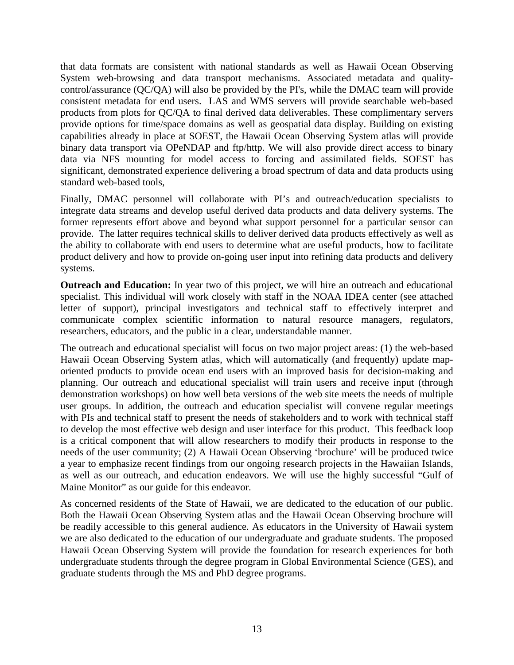that data formats are consistent with national standards as well as Hawaii Ocean Observing System web-browsing and data transport mechanisms. Associated metadata and qualitycontrol/assurance (QC/QA) will also be provided by the PI's, while the DMAC team will provide consistent metadata for end users. LAS and WMS servers will provide searchable web-based products from plots for QC/QA to final derived data deliverables. These complimentary servers provide options for time/space domains as well as geospatial data display. Building on existing capabilities already in place at SOEST, the Hawaii Ocean Observing System atlas will provide binary data transport via OPeNDAP and ftp/http. We will also provide direct access to binary data via NFS mounting for model access to forcing and assimilated fields. SOEST has significant, demonstrated experience delivering a broad spectrum of data and data products using standard web-based tools,

Finally, DMAC personnel will collaborate with PI's and outreach/education specialists to integrate data streams and develop useful derived data products and data delivery systems. The former represents effort above and beyond what support personnel for a particular sensor can provide. The latter requires technical skills to deliver derived data products effectively as well as the ability to collaborate with end users to determine what are useful products, how to facilitate product delivery and how to provide on-going user input into refining data products and delivery systems.

**Outreach and Education:** In year two of this project, we will hire an outreach and educational specialist. This individual will work closely with staff in the NOAA IDEA center (see attached letter of support), principal investigators and technical staff to effectively interpret and communicate complex scientific information to natural resource managers, regulators, researchers, educators, and the public in a clear, understandable manner.

The outreach and educational specialist will focus on two major project areas: (1) the web-based Hawaii Ocean Observing System atlas, which will automatically (and frequently) update maporiented products to provide ocean end users with an improved basis for decision-making and planning. Our outreach and educational specialist will train users and receive input (through demonstration workshops) on how well beta versions of the web site meets the needs of multiple user groups. In addition, the outreach and education specialist will convene regular meetings with PIs and technical staff to present the needs of stakeholders and to work with technical staff to develop the most effective web design and user interface for this product. This feedback loop is a critical component that will allow researchers to modify their products in response to the needs of the user community; (2) A Hawaii Ocean Observing 'brochure' will be produced twice a year to emphasize recent findings from our ongoing research projects in the Hawaiian Islands, as well as our outreach, and education endeavors. We will use the highly successful "Gulf of Maine Monitor" as our guide for this endeavor.

As concerned residents of the State of Hawaii, we are dedicated to the education of our public. Both the Hawaii Ocean Observing System atlas and the Hawaii Ocean Observing brochure will be readily accessible to this general audience. As educators in the University of Hawaii system we are also dedicated to the education of our undergraduate and graduate students. The proposed Hawaii Ocean Observing System will provide the foundation for research experiences for both undergraduate students through the degree program in Global Environmental Science (GES), and graduate students through the MS and PhD degree programs.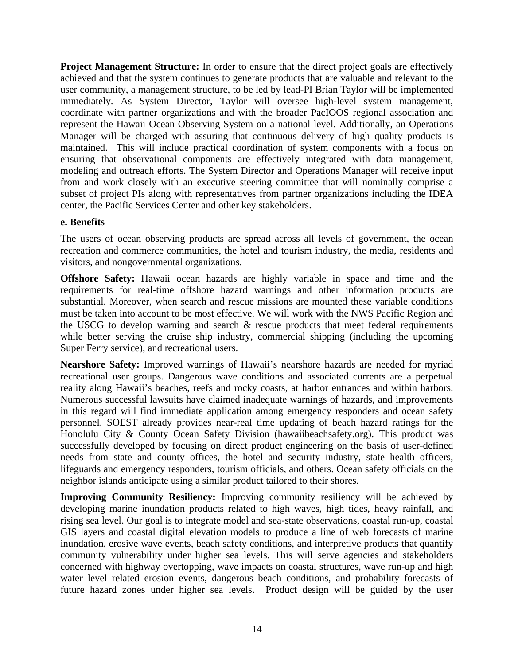**Project Management Structure:** In order to ensure that the direct project goals are effectively achieved and that the system continues to generate products that are valuable and relevant to the user community, a management structure, to be led by lead-PI Brian Taylor will be implemented immediately. As System Director, Taylor will oversee high-level system management, coordinate with partner organizations and with the broader PacIOOS regional association and represent the Hawaii Ocean Observing System on a national level. Additionally, an Operations Manager will be charged with assuring that continuous delivery of high quality products is maintained. This will include practical coordination of system components with a focus on ensuring that observational components are effectively integrated with data management, modeling and outreach efforts. The System Director and Operations Manager will receive input from and work closely with an executive steering committee that will nominally comprise a subset of project PIs along with representatives from partner organizations including the IDEA center, the Pacific Services Center and other key stakeholders.

### **e. Benefits**

The users of ocean observing products are spread across all levels of government, the ocean recreation and commerce communities, the hotel and tourism industry, the media, residents and visitors, and nongovernmental organizations.

**Offshore Safety:** Hawaii ocean hazards are highly variable in space and time and the requirements for real-time offshore hazard warnings and other information products are substantial. Moreover, when search and rescue missions are mounted these variable conditions must be taken into account to be most effective. We will work with the NWS Pacific Region and the USCG to develop warning and search & rescue products that meet federal requirements while better serving the cruise ship industry, commercial shipping (including the upcoming Super Ferry service), and recreational users.

**Nearshore Safety:** Improved warnings of Hawaii's nearshore hazards are needed for myriad recreational user groups. Dangerous wave conditions and associated currents are a perpetual reality along Hawaii's beaches, reefs and rocky coasts, at harbor entrances and within harbors. Numerous successful lawsuits have claimed inadequate warnings of hazards, and improvements in this regard will find immediate application among emergency responders and ocean safety personnel. SOEST already provides near-real time updating of beach hazard ratings for the Honolulu City & County Ocean Safety Division (hawaiibeachsafety.org). This product was successfully developed by focusing on direct product engineering on the basis of user-defined needs from state and county offices, the hotel and security industry, state health officers, lifeguards and emergency responders, tourism officials, and others. Ocean safety officials on the neighbor islands anticipate using a similar product tailored to their shores.

**Improving Community Resiliency:** Improving community resiliency will be achieved by developing marine inundation products related to high waves, high tides, heavy rainfall, and rising sea level. Our goal is to integrate model and sea-state observations, coastal run-up, coastal GIS layers and coastal digital elevation models to produce a line of web forecasts of marine inundation, erosive wave events, beach safety conditions, and interpretive products that quantify community vulnerability under higher sea levels. This will serve agencies and stakeholders concerned with highway overtopping, wave impacts on coastal structures, wave run-up and high water level related erosion events, dangerous beach conditions, and probability forecasts of future hazard zones under higher sea levels. Product design will be guided by the user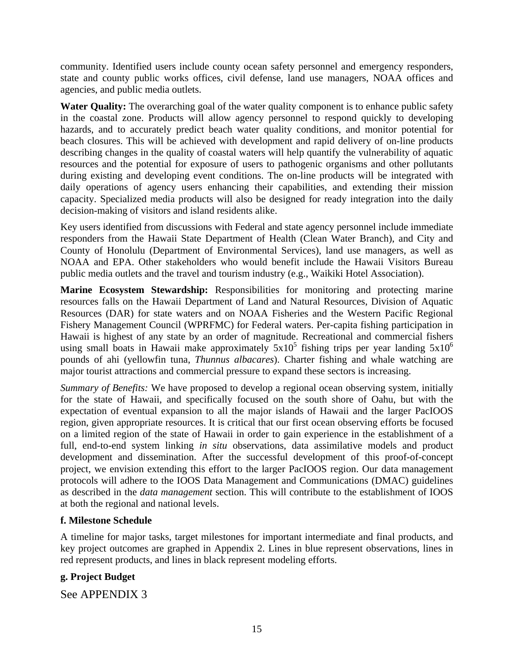community. Identified users include county ocean safety personnel and emergency responders, state and county public works offices, civil defense, land use managers, NOAA offices and agencies, and public media outlets.

Water Quality: The overarching goal of the water quality component is to enhance public safety in the coastal zone. Products will allow agency personnel to respond quickly to developing hazards, and to accurately predict beach water quality conditions, and monitor potential for beach closures. This will be achieved with development and rapid delivery of on-line products describing changes in the quality of coastal waters will help quantify the vulnerability of aquatic resources and the potential for exposure of users to pathogenic organisms and other pollutants during existing and developing event conditions. The on-line products will be integrated with daily operations of agency users enhancing their capabilities, and extending their mission capacity. Specialized media products will also be designed for ready integration into the daily decision-making of visitors and island residents alike.

Key users identified from discussions with Federal and state agency personnel include immediate responders from the Hawaii State Department of Health (Clean Water Branch), and City and County of Honolulu (Department of Environmental Services), land use managers, as well as NOAA and EPA. Other stakeholders who would benefit include the Hawaii Visitors Bureau public media outlets and the travel and tourism industry (e.g., Waikiki Hotel Association).

**Marine Ecosystem Stewardship:** Responsibilities for monitoring and protecting marine resources falls on the Hawaii Department of Land and Natural Resources, Division of Aquatic Resources (DAR) for state waters and on NOAA Fisheries and the Western Pacific Regional Fishery Management Council (WPRFMC) for Federal waters. Per-capita fishing participation in Hawaii is highest of any state by an order of magnitude. Recreational and commercial fishers using small boats in Hawaii make approximately  $5x10^5$  fishing trips per year landing  $5x10^6$ pounds of ahi (yellowfin tuna, *Thunnus albacares*). Charter fishing and whale watching are major tourist attractions and commercial pressure to expand these sectors is increasing.

*Summary of Benefits:* We have proposed to develop a regional ocean observing system, initially for the state of Hawaii, and specifically focused on the south shore of Oahu, but with the expectation of eventual expansion to all the major islands of Hawaii and the larger PacIOOS region, given appropriate resources. It is critical that our first ocean observing efforts be focused on a limited region of the state of Hawaii in order to gain experience in the establishment of a full, end-to-end system linking *in situ* observations, data assimilative models and product development and dissemination. After the successful development of this proof-of-concept project, we envision extending this effort to the larger PacIOOS region. Our data management protocols will adhere to the IOOS Data Management and Communications (DMAC) guidelines as described in the *data management* section. This will contribute to the establishment of IOOS at both the regional and national levels.

# **f. Milestone Schedule**

A timeline for major tasks, target milestones for important intermediate and final products, and key project outcomes are graphed in Appendix 2. Lines in blue represent observations, lines in red represent products, and lines in black represent modeling efforts.

# **g. Project Budget**

See APPENDIX 3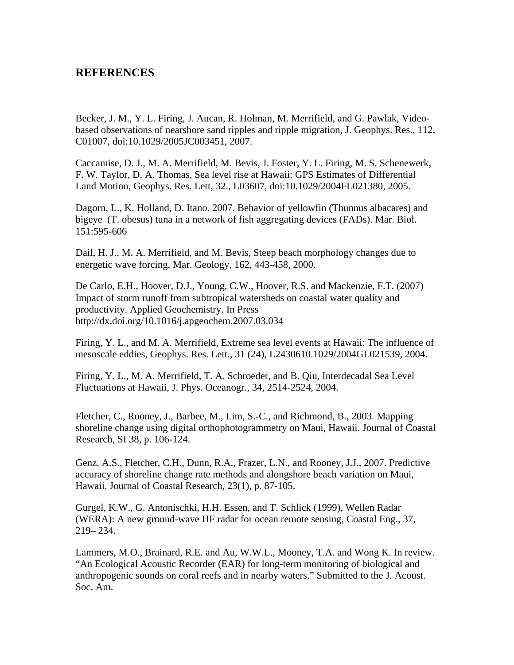# **REFERENCES**

Becker, J. M., Y. L. Firing, J. Aucan, R. Holman, M. Merrifield, and G. Pawlak, Videobased observations of nearshore sand ripples and ripple migration, J. Geophys. Res., 112, C01007, doi:10.1029/2005JC003451, 2007.

Caccamise, D. J., M. A. Merrifield, M. Bevis, J. Foster, Y. L. Firing, M. S. Schenewerk, F. W. Taylor, D. A. Thomas, Sea level rise at Hawaii: GPS Estimates of Differential Land Motion, Geophys. Res. Lett, 32., L03607, doi:10.1029/2004FL021380, 2005.

Dagorn, L., K. Holland, D. Itano. 2007. Behavior of yellowfin (Thunnus albacares) and bigeye (T. obesus) tuna in a network of fish aggregating devices (FADs). Mar. Biol. 151:595-606

Dail, H. J., M. A. Merrifield, and M. Bevis, Steep beach morphology changes due to energetic wave forcing, Mar. Geology, 162, 443-458, 2000.

De Carlo, E.H., Hoover, D.J., Young, C.W., Hoover, R.S. and Mackenzie, F.T. (2007) Impact of storm runoff from subtropical watersheds on coastal water quality and productivity. Applied Geochemistry. In Press http://dx.doi.org/10.1016/j.apgeochem.2007.03.034

Firing, Y. L., and M. A. Merrifield, Extreme sea level events at Hawaii: The influence of mesoscale eddies, Geophys. Res. Lett., 31 (24), L2430610.1029/2004GL021539, 2004.

Firing, Y. L., M. A. Merrifield, T. A. Schroeder, and B. Qiu, Interdecadal Sea Level Fluctuations at Hawaii, J. Phys. Oceanogr., 34, 2514-2524, 2004.

Fletcher, C., Rooney, J., Barbee, M., Lim, S.-C., and Richmond, B., 2003. Mapping shoreline change using digital orthophotogrammetry on Maui, Hawaii. Journal of Coastal Research, SI 38, p. 106-124.

Genz, A.S., Fletcher, C.H., Dunn, R.A., Frazer, L.N., and Rooney, J.J., 2007. Predictive accuracy of shoreline change rate methods and alongshore beach variation on Maui, Hawaii. Journal of Coastal Research, 23(1), p. 87-105.

Gurgel, K.W., G. Antonischki, H.H. Essen, and T. Schlick (1999), Wellen Radar (WERA): A new ground-wave HF radar for ocean remote sensing, Coastal Eng., 37, 219– 234.

Lammers, M.O., Brainard, R.E. and Au, W.W.L., Mooney, T.A. and Wong K. In review. "An Ecological Acoustic Recorder (EAR) for long-term monitoring of biological and anthropogenic sounds on coral reefs and in nearby waters." Submitted to the J. Acoust. Soc. Am.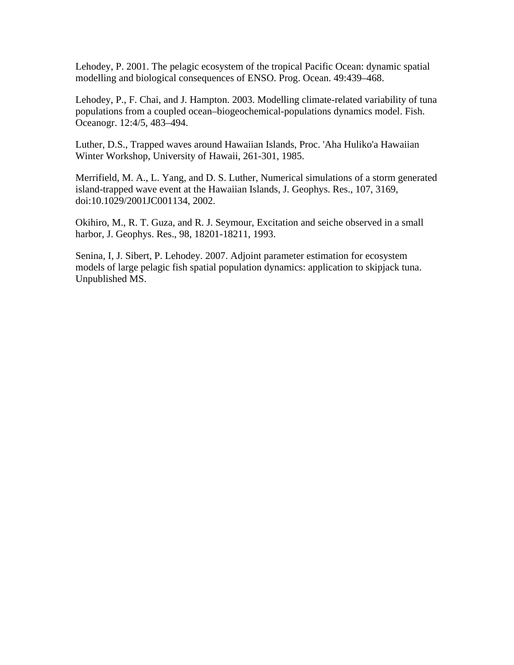Lehodey, P. 2001. The pelagic ecosystem of the tropical Pacific Ocean: dynamic spatial modelling and biological consequences of ENSO. Prog. Ocean. 49:439–468.

Lehodey, P., F. Chai, and J. Hampton. 2003. Modelling climate-related variability of tuna populations from a coupled ocean–biogeochemical-populations dynamics model. Fish. Oceanogr. 12:4/5, 483–494.

Luther, D.S., Trapped waves around Hawaiian Islands, Proc. 'Aha Huliko'a Hawaiian Winter Workshop, University of Hawaii, 261-301, 1985.

Merrifield, M. A., L. Yang, and D. S. Luther, Numerical simulations of a storm generated island-trapped wave event at the Hawaiian Islands, J. Geophys. Res., 107, 3169, doi:10.1029/2001JC001134, 2002.

Okihiro, M., R. T. Guza, and R. J. Seymour, Excitation and seiche observed in a small harbor, J. Geophys. Res., 98, 18201-18211, 1993.

Senina, I, J. Sibert, P. Lehodey. 2007. Adjoint parameter estimation for ecosystem models of large pelagic fish spatial population dynamics: application to skipjack tuna. Unpublished MS.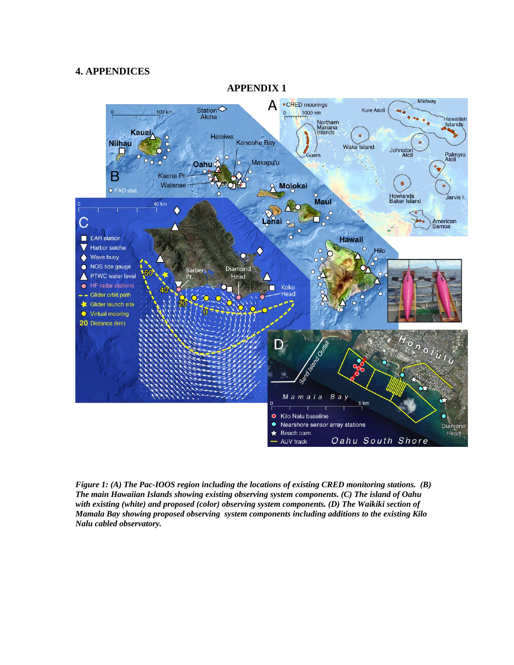#### **4. APPENDICES**



**APPENDIX 1** 

*Figure 1: (A) The Pac-IOOS region including the locations of existing CRED monitoring stations. (B) The main Hawaiian Islands showing existing observing system components. (C) The island of Oahu with existing (white) and proposed (color) observing system components. (D) The Waikiki section of Mamala Bay showing proposed observing system components including additions to the existing Kilo Nalu cabled observatory.*